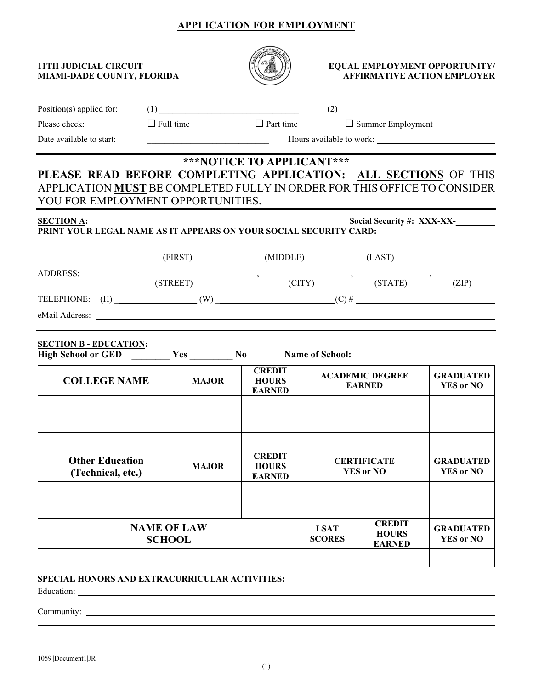# **APPLICATION FOR EMPLOYMENT**



### **11TH JUDICIAL CIRCUIT**  $\left(\frac{1}{2}\right)$  $\left(\frac{1}{2}\right)$  **EQUAL EMPLOYMENT OPPORTUNITY/** MIAMI-DADE COUNTY, FLORIDA **AFFIRMATIVE ACTION EMPLOYER**

| $Position(s)$ applied for:                  |                                                                                                                                                                                  |                                                                                                                      |                              |                                                                                                   |                                      |  |
|---------------------------------------------|----------------------------------------------------------------------------------------------------------------------------------------------------------------------------------|----------------------------------------------------------------------------------------------------------------------|------------------------------|---------------------------------------------------------------------------------------------------|--------------------------------------|--|
| Please check:                               | $\Box$ Full time                                                                                                                                                                 | $\Box$ Part time                                                                                                     |                              | $\Box$ Summer Employment                                                                          |                                      |  |
| Date available to start:                    |                                                                                                                                                                                  | <u> 1989 - Johann Barn, mars eta bainar eta bainar eta baina eta baina eta baina eta baina eta baina eta baina e</u> |                              |                                                                                                   |                                      |  |
|                                             | PLEASE READ BEFORE COMPLETING APPLICATION: ALL SECTIONS OF THIS<br>APPLICATION MUST BE COMPLETED FULLY IN ORDER FOR THIS OFFICE TO CONSIDER<br>YOU FOR EMPLOYMENT OPPORTUNITIES. | ***NOTICE TO APPLICANT***                                                                                            |                              |                                                                                                   |                                      |  |
| <b>SECTION A:</b>                           | PRINT YOUR LEGAL NAME AS IT APPEARS ON YOUR SOCIAL SECURITY CARD:                                                                                                                |                                                                                                                      |                              |                                                                                                   | Social Security #: XXX-XX-           |  |
|                                             | (FIRST)                                                                                                                                                                          | (MIDDLE)                                                                                                             |                              | (LAST)                                                                                            |                                      |  |
| <b>ADDRESS:</b>                             | (STREET)                                                                                                                                                                         |                                                                                                                      |                              | $\overrightarrow{CITY}$ $\overrightarrow{CITY}$ $\overrightarrow{STATE}$ $\overrightarrow{STATE}$ | (ZIP)                                |  |
|                                             |                                                                                                                                                                                  |                                                                                                                      |                              |                                                                                                   |                                      |  |
| <b>SECTION B - EDUCATION:</b>               | High School or GED <u>Nessan North Name</u> of School:                                                                                                                           |                                                                                                                      |                              |                                                                                                   |                                      |  |
| <b>COLLEGE NAME</b>                         | <b>MAJOR</b>                                                                                                                                                                     | <b>CREDIT</b><br><b>HOURS</b><br><b>EARNED</b>                                                                       |                              | <b>ACADEMIC DEGREE</b><br><b>EARNED</b>                                                           | <b>GRADUATED</b><br><b>YES or NO</b> |  |
| <b>Other Education</b><br>(Technical, etc.) | <b>MAJOR</b>                                                                                                                                                                     | <b>CREDIT</b><br><b>HOURS</b><br><b>EARNED</b>                                                                       |                              | <b>CERTIFICATE</b><br><b>YES or NO</b>                                                            | <b>GRADUATED</b><br><b>YES or NO</b> |  |
|                                             | <b>NAME OF LAW</b><br><b>SCHOOL</b>                                                                                                                                              |                                                                                                                      | <b>LSAT</b><br><b>SCORES</b> | <b>CREDIT</b><br><b>HOURS</b><br><b>EARNED</b>                                                    | <b>GRADUATED</b><br><b>YES or NO</b> |  |
| Education:                                  | <b>SPECIAL HONORS AND EXTRACURRICULAR ACTIVITIES:</b>                                                                                                                            |                                                                                                                      |                              |                                                                                                   |                                      |  |

Community: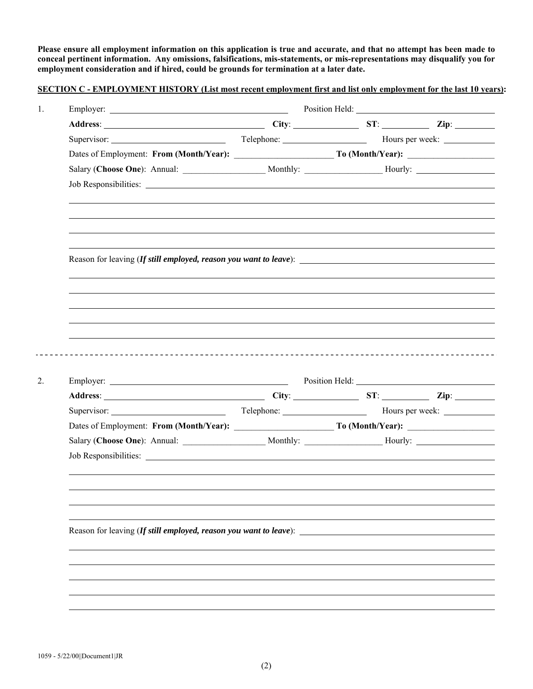**Please ensure all employment information on this application is true and accurate, and that no attempt has been made to conceal pertinent information. Any omissions, falsifications, mis-statements, or mis-representations may disqualify you for employment consideration and if hired, could be grounds for termination at a later date.** 

| SECTION C - EMPLOYMENT HISTORY (List most recent employment first and list only employment for the last 10 years): |
|--------------------------------------------------------------------------------------------------------------------|
|--------------------------------------------------------------------------------------------------------------------|

| Reason for leaving (If still employed, reason you want to leave): _______________ |  |  |
|-----------------------------------------------------------------------------------|--|--|
|                                                                                   |  |  |
|                                                                                   |  |  |
|                                                                                   |  |  |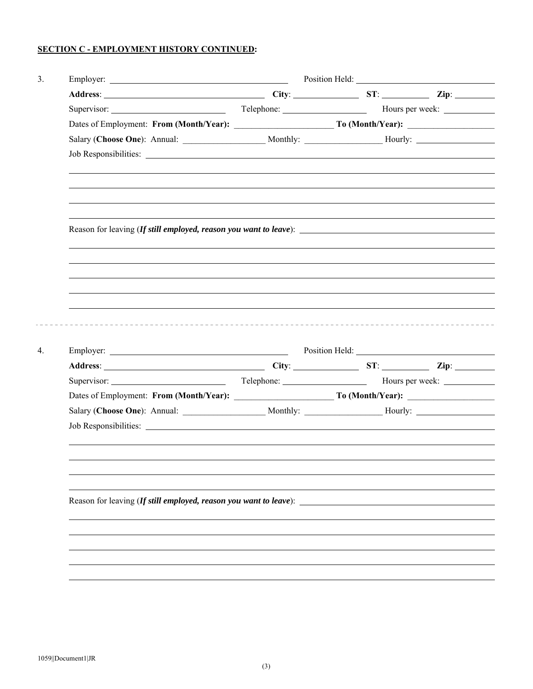## **SECTION C - EMPLOYMENT HISTORY CONTINUED:**

| Reason for leaving (If still employed, reason you want to leave):<br>Reason for leaving (If still employed, reason you want to leave): |  |  |  |  |  |
|----------------------------------------------------------------------------------------------------------------------------------------|--|--|--|--|--|
|                                                                                                                                        |  |  |  |  |  |
|                                                                                                                                        |  |  |  |  |  |
|                                                                                                                                        |  |  |  |  |  |
|                                                                                                                                        |  |  |  |  |  |
|                                                                                                                                        |  |  |  |  |  |
|                                                                                                                                        |  |  |  |  |  |
|                                                                                                                                        |  |  |  |  |  |
|                                                                                                                                        |  |  |  |  |  |
|                                                                                                                                        |  |  |  |  |  |
|                                                                                                                                        |  |  |  |  |  |
|                                                                                                                                        |  |  |  |  |  |
|                                                                                                                                        |  |  |  |  |  |
|                                                                                                                                        |  |  |  |  |  |
|                                                                                                                                        |  |  |  |  |  |
|                                                                                                                                        |  |  |  |  |  |
|                                                                                                                                        |  |  |  |  |  |
|                                                                                                                                        |  |  |  |  |  |
|                                                                                                                                        |  |  |  |  |  |
|                                                                                                                                        |  |  |  |  |  |
|                                                                                                                                        |  |  |  |  |  |
|                                                                                                                                        |  |  |  |  |  |
|                                                                                                                                        |  |  |  |  |  |
|                                                                                                                                        |  |  |  |  |  |
|                                                                                                                                        |  |  |  |  |  |
|                                                                                                                                        |  |  |  |  |  |
|                                                                                                                                        |  |  |  |  |  |
|                                                                                                                                        |  |  |  |  |  |
|                                                                                                                                        |  |  |  |  |  |
|                                                                                                                                        |  |  |  |  |  |
|                                                                                                                                        |  |  |  |  |  |
|                                                                                                                                        |  |  |  |  |  |
|                                                                                                                                        |  |  |  |  |  |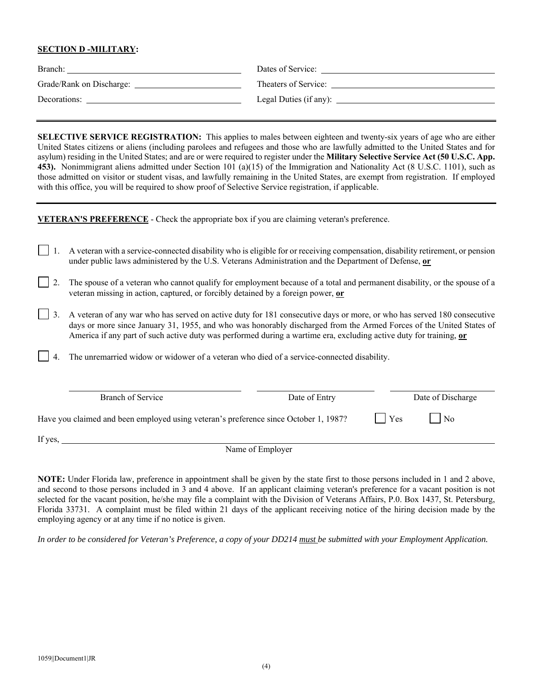### **SECTION D -MILITARY:**

| Branch:                  | Dates of Service:      |
|--------------------------|------------------------|
| Grade/Rank on Discharge: | Theaters of Service:   |
| Decorations:             | Legal Duties (if any): |

**SELECTIVE SERVICE REGISTRATION:** This applies to males between eighteen and twenty-six years of age who are either United States citizens or aliens (including parolees and refugees and those who are lawfully admitted to the United States and for asylum) residing in the United States; and are or were required to register under the **Military Selective Service Act (50 U.S.C. App. 453).** Nonimmigrant aliens admitted under Section 101 (a)(15) of the Immigration and Nationality Act (8 U.S.C. 1101), such as those admitted on visitor or student visas, and lawfully remaining in the United States, are exempt from registration. If employed with this office, you will be required to show proof of Selective Service registration, if applicable.

**VETERAN'S PREFERENCE** - Check the appropriate box if you are claiming veteran's preference.

- 1. A veteran with a service-connected disability who is eligible for or receiving compensation, disability retirement, or pension under public laws administered by the U.S. Veterans Administration and the Department of Defense, **or**
- 2. The spouse of a veteran who cannot qualify for employment because of a total and permanent disability, or the spouse of a veteran missing in action, captured, or forcibly detained by a foreign power, **or**
- 3. A veteran of any war who has served on active duty for 181 consecutive days or more, or who has served 180 consecutive days or more since January 31, 1955, and who was honorably discharged from the Armed Forces of the United States of America if any part of such active duty was performed during a wartime era, excluding active duty for training, **or**
	- 4. The unremarried widow or widower of a veteran who died of a service-connected disability.

| Branch of Service                                                                    | Date of Entry    |     | Date of Discharge |
|--------------------------------------------------------------------------------------|------------------|-----|-------------------|
| Have you claimed and been employed using veteran's preference since October 1, 1987? |                  | Yes | No                |
| If yes,                                                                              |                  |     |                   |
|                                                                                      | Name of Employer |     |                   |

**NOTE:** Under Florida law, preference in appointment shall be given by the state first to those persons included in 1 and 2 above, and second to those persons included in 3 and 4 above. If an applicant claiming veteran's preference for a vacant position is not selected for the vacant position, he/she may file a complaint with the Division of Veterans Affairs, P.0. Box 1437, St. Petersburg, Florida 33731. A complaint must be filed within 21 days of the applicant receiving notice of the hiring decision made by the employing agency or at any time if no notice is given.

*In order to be considered for Veteran's Preference, a copy of your DD214 must be submitted with your Employment Application.*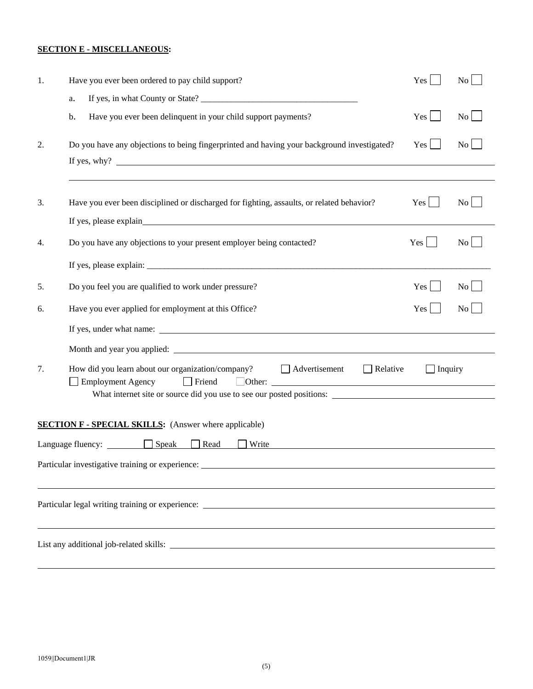## **SECTION E - MISCELLANEOUS:**

| 1. | Have you ever been ordered to pay child support?                                                                                                                                                                                     | Yes             | No                      |
|----|--------------------------------------------------------------------------------------------------------------------------------------------------------------------------------------------------------------------------------------|-----------------|-------------------------|
|    | a.                                                                                                                                                                                                                                   |                 |                         |
|    | Have you ever been delinquent in your child support payments?<br>b.                                                                                                                                                                  | Yes             | $\overline{N_0}$        |
| 2. | Do you have any objections to being fingerprinted and having your background investigated?<br>If yes, why? $\blacksquare$                                                                                                            | $Yes$           | $\overline{N_{0}}$      |
|    |                                                                                                                                                                                                                                      |                 |                         |
| 3. | Have you ever been disciplined or discharged for fighting, assaults, or related behavior?                                                                                                                                            | $Yes$           | $\rm{No}$               |
| 4. | Do you have any objections to your present employer being contacted?                                                                                                                                                                 | Yes             | $\overline{N_0}$        |
|    |                                                                                                                                                                                                                                      |                 |                         |
|    |                                                                                                                                                                                                                                      |                 |                         |
| 5. | Do you feel you are qualified to work under pressure?                                                                                                                                                                                | $Yes$           | $\vert$ $\vert$ $\vert$ |
| 6. | Have you ever applied for employment at this Office?                                                                                                                                                                                 | $Yes \mid \mid$ | $\mathbf{N}\mathbf{o}$  |
|    |                                                                                                                                                                                                                                      |                 |                         |
|    | Month and year you applied: <u>the contract of the contract of the contract of the contract of the contract of the contract of the contract of the contract of the contract of the contract of the contract of the contract of t</u> |                 |                         |
| 7. | How did you learn about our organization/company?<br>$\Box$ Relative<br>Advertisement<br>$\Box$ Friend<br>Employment Agency                                                                                                          | $\Box$ Inquiry  |                         |
|    | What internet site or source did you use to see our posted positions:                                                                                                                                                                |                 |                         |
|    | <b>SECTION F - SPECIAL SKILLS:</b> (Answer where applicable)                                                                                                                                                                         |                 |                         |
|    | Language fluency: $\Box$ Speak Read<br><b>Write</b>                                                                                                                                                                                  |                 |                         |
|    | Particular investigative training or experience: ________________________________                                                                                                                                                    |                 |                         |
|    |                                                                                                                                                                                                                                      |                 |                         |
|    |                                                                                                                                                                                                                                      |                 |                         |
|    |                                                                                                                                                                                                                                      |                 |                         |
|    |                                                                                                                                                                                                                                      |                 |                         |
|    |                                                                                                                                                                                                                                      |                 |                         |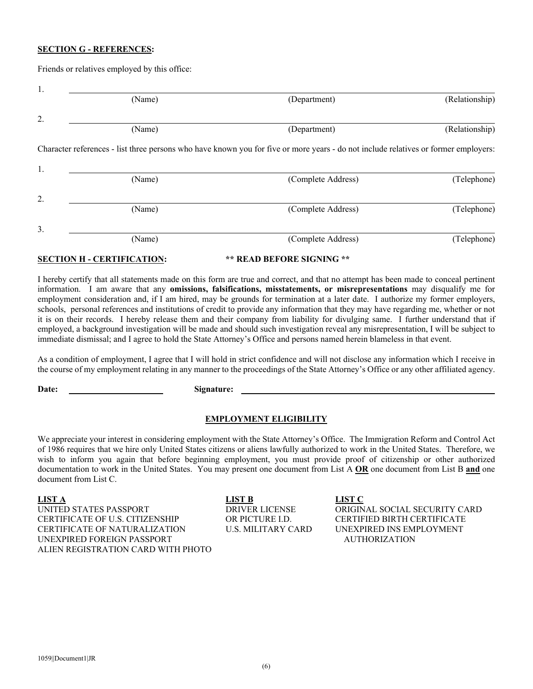#### **SECTION G - REFERENCES:**

Friends or relatives employed by this office:

| 1. | (Name)                            | (Department)                                                                                                                        | (Relationship) |
|----|-----------------------------------|-------------------------------------------------------------------------------------------------------------------------------------|----------------|
|    |                                   |                                                                                                                                     |                |
| 2. |                                   |                                                                                                                                     |                |
|    | (Name)                            | (Department)                                                                                                                        | (Relationship) |
|    |                                   | Character references - list three persons who have known you for five or more years - do not include relatives or former employers: |                |
| 1. |                                   |                                                                                                                                     |                |
|    | (Name)                            | (Complete Address)                                                                                                                  | (Telephone)    |
| 2. |                                   |                                                                                                                                     |                |
|    | (Name)                            | (Complete Address)                                                                                                                  | (Telephone)    |
| 3. |                                   |                                                                                                                                     |                |
|    | (Name)                            | (Complete Address)                                                                                                                  | (Telephone)    |
|    | <b>SECTION H - CERTIFICATION:</b> | ** READ BEFORE SIGNING **                                                                                                           |                |

I hereby certify that all statements made on this form are true and correct, and that no attempt has been made to conceal pertinent information. I am aware that any **omissions, falsifications, misstatements, or misrepresentations** may disqualify me for employment consideration and, if I am hired, may be grounds for termination at a later date. I authorize my former employers, schools, personal references and institutions of credit to provide any information that they may have regarding me, whether or not it is on their records. I hereby release them and their company from liability for divulging same. I further understand that if employed, a background investigation will be made and should such investigation reveal any misrepresentation, I will be subject to immediate dismissal; and I agree to hold the State Attorney's Office and persons named herein blameless in that event.

As a condition of employment, I agree that I will hold in strict confidence and will not disclose any information which I receive in the course of my employment relating in any manner to the proceedings of the State Attorney's Office or any other affiliated agency.

Date: Signature:

#### **EMPLOYMENT ELIGIBILITY**

We appreciate your interest in considering employment with the State Attorney's Office. The Immigration Reform and Control Act of 1986 requires that we hire only United States citizens or aliens lawfully authorized to work in the United States. Therefore, we wish to inform you again that before beginning employment, you must provide proof of citizenship or other authorized documentation to work in the United States. You may present one document from List A **OR** one document from List B **and** one document from List C.

**LIST A LIST B LIST C**  UNITED STATES PASSPORT DRIVER LICENSE ORIGINAL SOCIAL SECURITY CARD CERTIFICATE OF U.S. CITIZENSHIP OR PICTURE I.D. CERTIFIED BIRTH CERTIFICATE CERTIFICATE OF NATURALIZATION U.S. MILITARY CARD UNEXPIRED INS EMPLOYMENT UNEXPIRED FOREIGN PASSPORT AUTHORIZATION ALIEN REGISTRATION CARD WITH PHOTO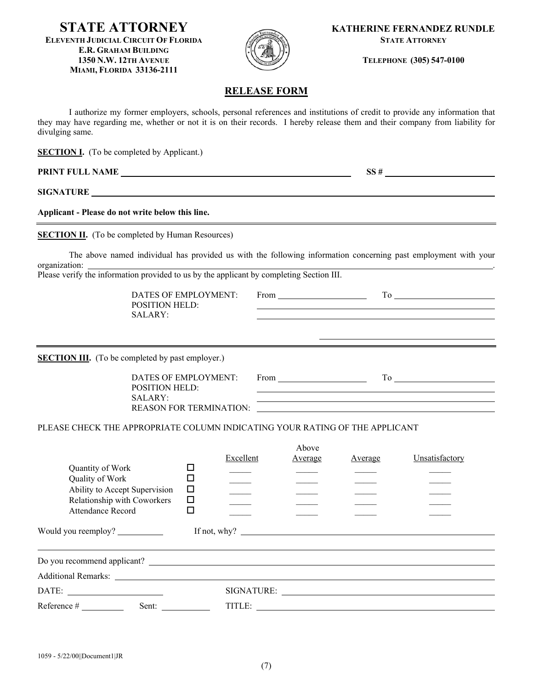**ELEVENTH JUDICIAL CIRCUIT OF FLORIDA STATE ATTORNEY E.R. GRAHAM BUILDING 1350 N.W. 12TH AVENUE TELEPHONE (305) 547-0100 MIAMI, FLORIDA 33136-2111** 



**STATE ATTORNEY KATHERINE FERNANDEZ RUNDLE** 

## **RELEASE FORM**

I authorize my former employers, schools, personal references and institutions of credit to provide any information that they may have regarding me, whether or not it is on their records. I hereby release them and their company from liability for divulging same.

**SECTION I.** (To be completed by Applicant.)

**PRINT FULL NAME**  $SS #$ 

**SIGNATURE** 

**Applicant - Please do not write below this line.** 

**SECTION II.** (To be completed by Human Resources)

The above named individual has provided us with the following information concerning past employment with your organization: .

Please verify the information provided to us by the applicant by completing Section III.

DATES OF EMPLOYMENT: From To POSITION HELD: SALARY:

**SECTION III.** (To be completed by past employer.)

| DATES OF EMPLOYMENT:    | From |  |
|-------------------------|------|--|
| POSITION HELD:          |      |  |
| SALARY:                 |      |  |
| REASON FOR TERMINATION: |      |  |

PLEASE CHECK THE APPROPRIATE COLUMN INDICATING YOUR RATING OF THE APPLICANT

|                                                              |             | Excellent                    | Above<br>Average | Average | Unsatisfactory |
|--------------------------------------------------------------|-------------|------------------------------|------------------|---------|----------------|
| Quantity of Work                                             |             |                              |                  |         |                |
| Quality of Work                                              |             |                              |                  |         |                |
| Ability to Accept Supervision<br>Relationship with Coworkers | $\Box$<br>□ |                              |                  |         |                |
| <b>Attendance Record</b>                                     |             |                              |                  |         |                |
| Would you reemploy? ____________                             |             | If not, why? $\qquad \qquad$ |                  |         |                |
|                                                              |             |                              |                  |         |                |
|                                                              |             |                              |                  |         |                |
| $\text{DATE:}$                                               |             |                              |                  |         | SIGNATURE:     |
| Reference #<br>Sent: $\qquad \qquad$                         |             |                              |                  |         |                |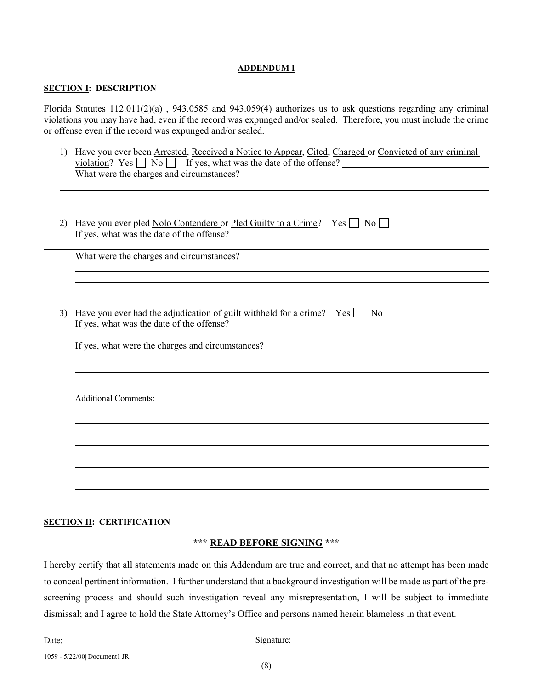## **ADDENDUM I**

## **SECTION I: DESCRIPTION**

Florida Statutes 112.011(2)(a) , 943.0585 and 943.059(4) authorizes us to ask questions regarding any criminal violations you may have had, even if the record was expunged and/or sealed. Therefore, you must include the crime or offense even if the record was expunged and/or sealed.

- 1) Have you ever been Arrested, Received a Notice to Appear, Cited, Charged or Convicted of any criminal violation? Yes  $\Box$  No  $\Box$  If yes, what was the date of the offense? What were the charges and circumstances?
- 2) Have you ever pled Nolo Contendere or Pled Guilty to a Crime? Yes  $\Box$  No  $\Box$ If yes, what was the date of the offense?

What were the charges and circumstances?

3) Have you ever had the adjudication of guilt withheld for a crime? Yes  $\Box$  No  $\Box$ If yes, what was the date of the offense?

If yes, what were the charges and circumstances?

Additional Comments:

## **SECTION II: CERTIFICATION**

## **\*\*\* READ BEFORE SIGNING \*\*\***

I hereby certify that all statements made on this Addendum are true and correct, and that no attempt has been made to conceal pertinent information. I further understand that a background investigation will be made as part of the prescreening process and should such investigation reveal any misrepresentation, I will be subject to immediate dismissal; and I agree to hold the State Attorney's Office and persons named herein blameless in that event.

Signature: